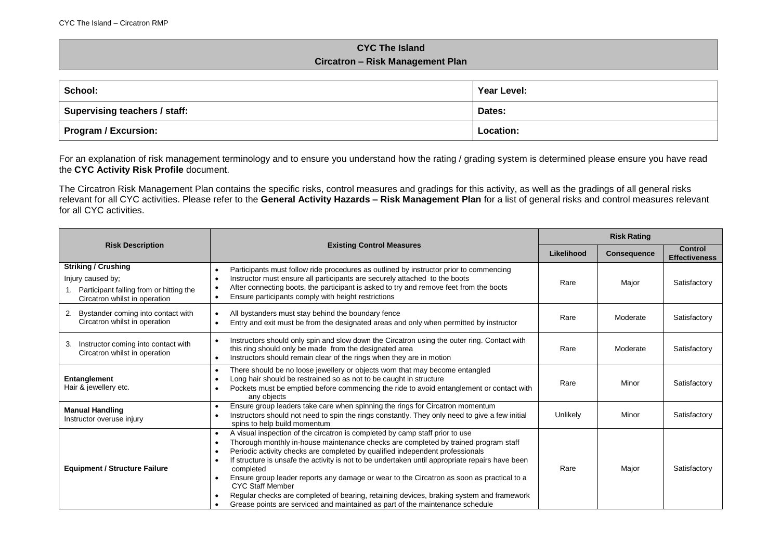## **CYC The Island Circatron – Risk Management Plan**

| School:                       | Year Level: |
|-------------------------------|-------------|
| Supervising teachers / staff: | Dates:      |
| Program / Excursion:          | Location:   |

For an explanation of risk management terminology and to ensure you understand how the rating / grading system is determined please ensure you have read the **CYC Activity Risk Profile** document.

The Circatron Risk Management Plan contains the specific risks, control measures and gradings for this activity, as well as the gradings of all general risks relevant for all CYC activities. Please refer to the **General Activity Hazards – Risk Management Plan** for a list of general risks and control measures relevant for all CYC activities.

|                                                                                                                                               |                                                                                                                                                                                                                                                                                                                                                                                                                                                                                                                                                                                                                                                                                        |            | <b>Risk Rating</b> |                                        |  |
|-----------------------------------------------------------------------------------------------------------------------------------------------|----------------------------------------------------------------------------------------------------------------------------------------------------------------------------------------------------------------------------------------------------------------------------------------------------------------------------------------------------------------------------------------------------------------------------------------------------------------------------------------------------------------------------------------------------------------------------------------------------------------------------------------------------------------------------------------|------------|--------------------|----------------------------------------|--|
| <b>Risk Description</b>                                                                                                                       | <b>Existing Control Measures</b>                                                                                                                                                                                                                                                                                                                                                                                                                                                                                                                                                                                                                                                       | Likelihood | <b>Consequence</b> | <b>Control</b><br><b>Effectiveness</b> |  |
| <b>Striking / Crushing</b><br>Injury caused by;<br>Participant falling from or hitting the<br>$\mathbf{1}$ .<br>Circatron whilst in operation | Participants must follow ride procedures as outlined by instructor prior to commencing<br>Instructor must ensure all participants are securely attached to the boots<br>After connecting boots, the participant is asked to try and remove feet from the boots<br>Ensure participants comply with height restrictions                                                                                                                                                                                                                                                                                                                                                                  | Rare       | Major              | Satisfactory                           |  |
| Bystander coming into contact with<br>2.<br>Circatron whilst in operation                                                                     | All bystanders must stay behind the boundary fence<br>Entry and exit must be from the designated areas and only when permitted by instructor                                                                                                                                                                                                                                                                                                                                                                                                                                                                                                                                           | Rare       | Moderate           | Satisfactory                           |  |
| Instructor coming into contact with<br>3.<br>Circatron whilst in operation                                                                    | Instructors should only spin and slow down the Circatron using the outer ring. Contact with<br>this ring should only be made from the designated area<br>Instructors should remain clear of the rings when they are in motion<br>$\bullet$                                                                                                                                                                                                                                                                                                                                                                                                                                             | Rare       | Moderate           | Satisfactory                           |  |
| Entanglement<br>Hair & jewellery etc.                                                                                                         | There should be no loose jewellery or objects worn that may become entangled<br>Long hair should be restrained so as not to be caught in structure<br>Pockets must be emptied before commencing the ride to avoid entanglement or contact with<br>$\bullet$<br>any objects                                                                                                                                                                                                                                                                                                                                                                                                             | Rare       | Minor              | Satisfactory                           |  |
| <b>Manual Handling</b><br>Instructor overuse injury                                                                                           | Ensure group leaders take care when spinning the rings for Circatron momentum<br>Instructors should not need to spin the rings constantly. They only need to give a few initial<br>spins to help build momentum                                                                                                                                                                                                                                                                                                                                                                                                                                                                        | Unlikely   | Minor              | Satisfactory                           |  |
| <b>Equipment / Structure Failure</b>                                                                                                          | A visual inspection of the circatron is completed by camp staff prior to use<br>$\bullet$<br>Thorough monthly in-house maintenance checks are completed by trained program staff<br>Periodic activity checks are completed by qualified independent professionals<br>If structure is unsafe the activity is not to be undertaken until appropriate repairs have been<br>completed<br>Ensure group leader reports any damage or wear to the Circatron as soon as practical to a<br><b>CYC Staff Member</b><br>Regular checks are completed of bearing, retaining devices, braking system and framework<br>Grease points are serviced and maintained as part of the maintenance schedule | Rare       | Major              | Satisfactory                           |  |